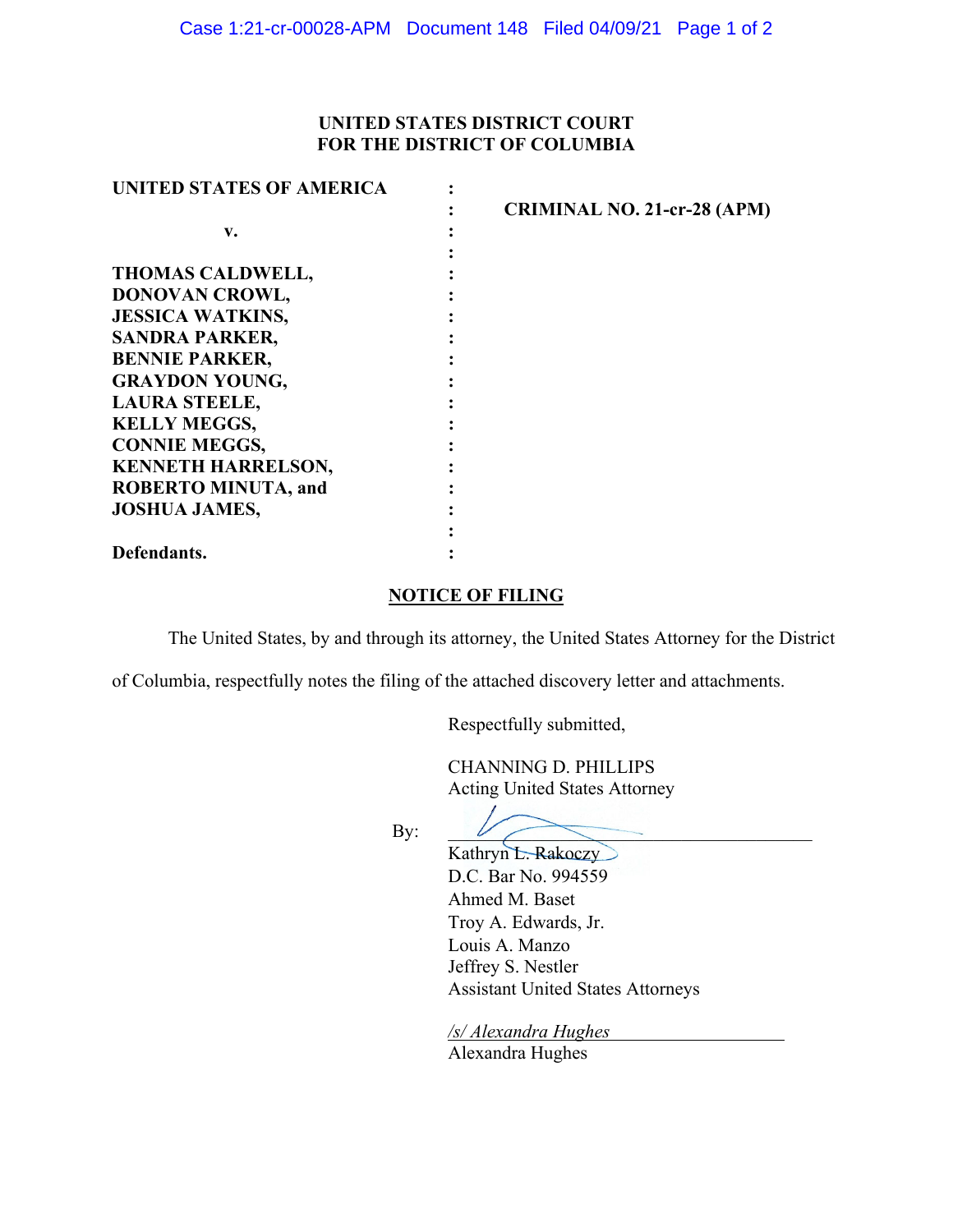## **UNITED STATES DISTRICT COURT FOR THE DISTRICT OF COLUMBIA**

| <b>UNITED STATES OF AMERICA</b> |                                    |
|---------------------------------|------------------------------------|
|                                 | <b>CRIMINAL NO. 21-cr-28 (APM)</b> |
| v.                              |                                    |
|                                 |                                    |
| <b>THOMAS CALDWELL,</b>         |                                    |
| DONOVAN CROWL,                  |                                    |
| <b>JESSICA WATKINS,</b>         |                                    |
| <b>SANDRA PARKER,</b>           |                                    |
| <b>BENNIE PARKER,</b>           |                                    |
| <b>GRAYDON YOUNG,</b>           |                                    |
| <b>LAURA STEELE,</b>            |                                    |
| <b>KELLY MEGGS,</b>             |                                    |
| <b>CONNIE MEGGS,</b>            |                                    |
| <b>KENNETH HARRELSON,</b>       |                                    |
| <b>ROBERTO MINUTA, and</b>      |                                    |
| <b>JOSHUA JAMES,</b>            |                                    |
|                                 |                                    |
| Defendants.                     |                                    |

## **NOTICE OF FILING**

The United States, by and through its attorney, the United States Attorney for the District

of Columbia, respectfully notes the filing of the attached discovery letter and attachments.

Respectfully submitted,

CHANNING D. PHILLIPS Acting United States Attorney

By:

Kathryn L. Rakoczy D.C. Bar No. 994559 Ahmed M. Baset Troy A. Edwards, Jr. Louis A. Manzo Jeffrey S. Nestler Assistant United States Attorneys

*/s/ Alexandra Hughes*  Alexandra Hughes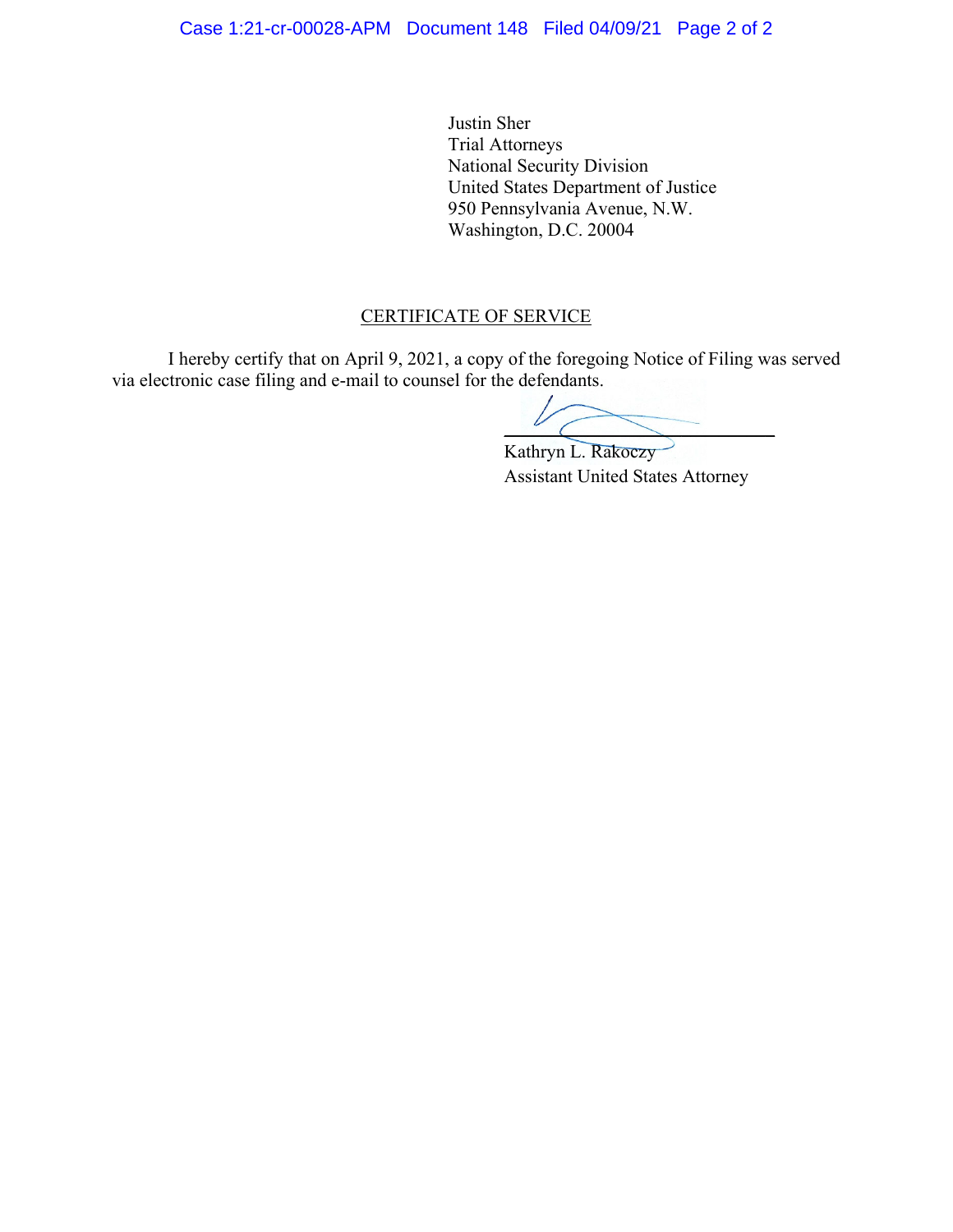Justin Sher Trial Attorneys National Security Division United States Department of Justice 950 Pennsylvania Avenue, N.W. Washington, D.C. 20004

## CERTIFICATE OF SERVICE

I hereby certify that on April 9, 2021, a copy of the foregoing Notice of Filing was served via electronic case filing and e-mail to counsel for the defendants.

 $\overline{\phantom{a}}$ 

Kathryn L. Rakoczy Assistant United States Attorney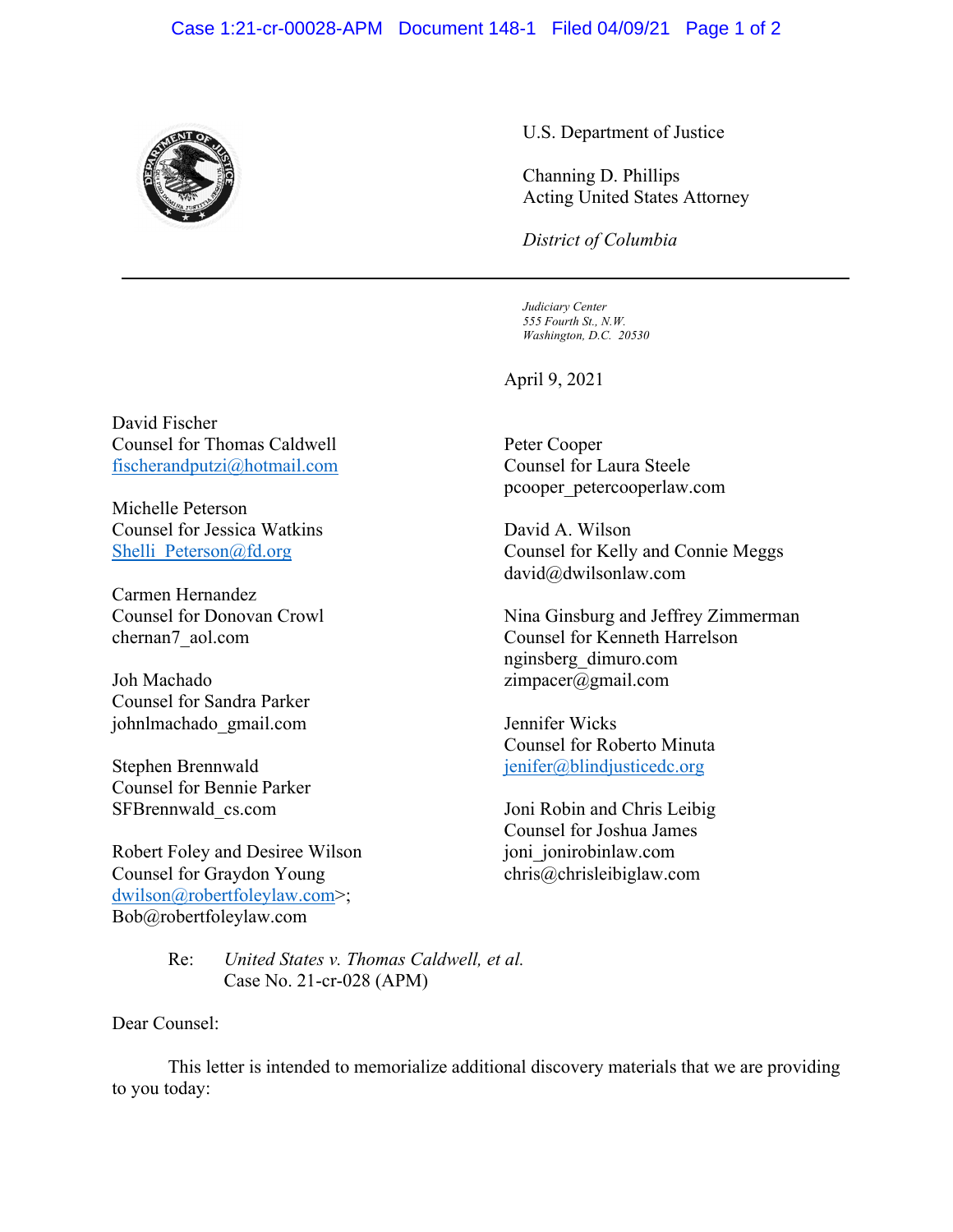## Case 1:21-cr-00028-APM Document 148-1 Filed 04/09/21 Page 1 of 2



U.S. Department of Justice

Channing D. Phillips Acting United States Attorney

*District of Columbia*

 *Judiciary Center 555 Fourth St., N.W. Washington, D.C. 20530*

April 9, 2021

Peter Cooper Counsel for Laura Steele pcooper\_petercooperlaw.com

David A. Wilson Counsel for Kelly and Connie Meggs david@dwilsonlaw.com

Nina Ginsburg and Jeffrey Zimmerman Counsel for Kenneth Harrelson nginsberg\_dimuro.com zimpacer@gmail.com

Jennifer Wicks Counsel for Roberto Minuta jenifer@blindjusticedc.org

Joni Robin and Chris Leibig Counsel for Joshua James joni\_jonirobinlaw.com chris@chrisleibiglaw.com

David Fischer Counsel for Thomas Caldwell fischerandputzi@hotmail.com

Michelle Peterson Counsel for Jessica Watkins Shelli Peterson@fd.org

Carmen Hernandez Counsel for Donovan Crowl chernan7\_aol.com

Joh Machado Counsel for Sandra Parker johnlmachado\_gmail.com

Stephen Brennwald Counsel for Bennie Parker SFBrennwald\_cs.com

Robert Foley and Desiree Wilson Counsel for Graydon Young dwilson@robertfoleylaw.com>; Bob@robertfoleylaw.com

> Re: *United States v. Thomas Caldwell, et al.*  Case No. 21-cr-028 (APM)

Dear Counsel:

 This letter is intended to memorialize additional discovery materials that we are providing to you today: